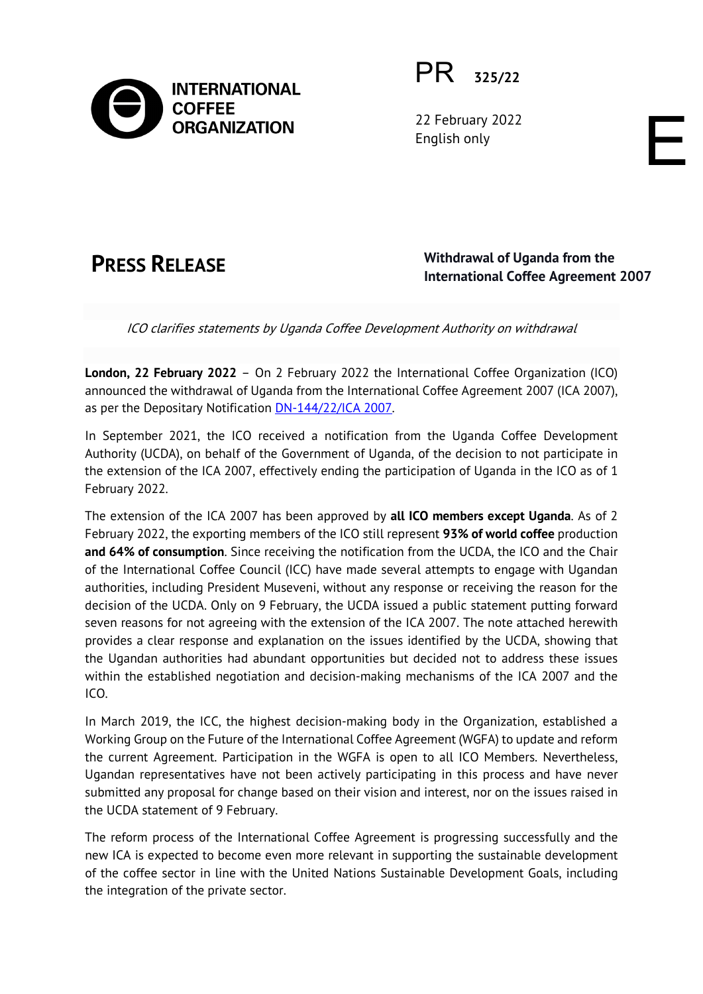

PR **325/22**

22 February 2022 English only

# **PRESS RELEASE Withdrawal of Uganda from the International Coffee Agreement 2007**

E

ICO clarifies statements by Uganda Coffee Development Authority on withdrawal

**London, 22 February 2022** – On 2 February 2022 the International Coffee Organization (ICO) announced the withdrawal of Uganda from the International Coffee Agreement 2007 (ICA 2007), as per the Depositary Notification [DN-144/22/ICA 2007.](http://www.ico.org/documents/cy2021-22/dn-144-22e-uganda-formal-withdrawal.pdf)

In September 2021, the ICO received a notification from the Uganda Coffee Development Authority (UCDA), on behalf of the Government of Uganda, of the decision to not participate in the extension of the ICA 2007, effectively ending the participation of Uganda in the ICO as of 1 February 2022.

The extension of the ICA 2007 has been approved by **all ICO members except Uganda**. As of 2 February 2022, the exporting members of the ICO still represent **93% of world coffee** production **and 64% of consumption**. Since receiving the notification from the UCDA, the ICO and the Chair of the International Coffee Council (ICC) have made several attempts to engage with Ugandan authorities, including President Museveni, without any response or receiving the reason for the decision of the UCDA. Only on 9 February, the UCDA issued a public statement putting forward seven reasons for not agreeing with the extension of the ICA 2007. The note attached herewith provides a clear response and explanation on the issues identified by the UCDA, showing that the Ugandan authorities had abundant opportunities but decided not to address these issues within the established negotiation and decision-making mechanisms of the ICA 2007 and the ICO.

In March 2019, the ICC, the highest decision-making body in the Organization, established a Working Group on the Future of the International Coffee Agreement (WGFA) to update and reform the current Agreement. Participation in the WGFA is open to all ICO Members. Nevertheless, Ugandan representatives have not been actively participating in this process and have never submitted any proposal for change based on their vision and interest, nor on the issues raised in the UCDA statement of 9 February.

The reform process of the International Coffee Agreement is progressing successfully and the new ICA is expected to become even more relevant in supporting the sustainable development of the coffee sector in line with the United Nations Sustainable Development Goals, including the integration of the private sector.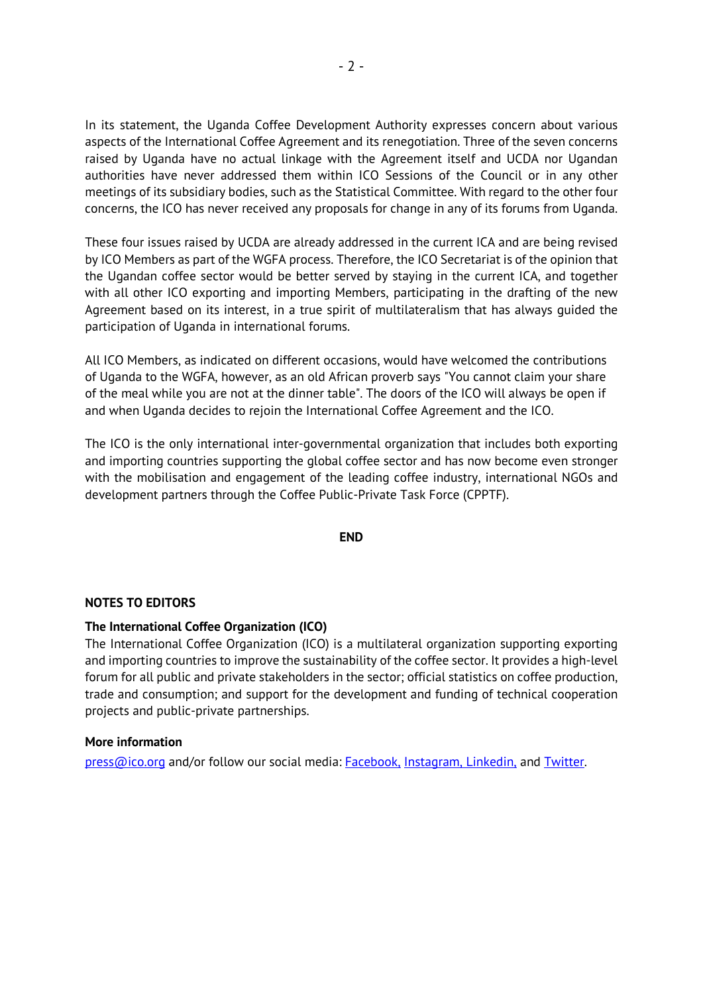In its statement, the Uganda Coffee Development Authority expresses concern about various aspects of the International Coffee Agreement and its renegotiation. Three of the seven concerns raised by Uganda have no actual linkage with the Agreement itself and UCDA nor Ugandan authorities have never addressed them within ICO Sessions of the Council or in any other meetings of its subsidiary bodies, such as the Statistical Committee. With regard to the other four concerns, the ICO has never received any proposals for change in any of its forums from Uganda.

These four issues raised by UCDA are already addressed in the current ICA and are being revised by ICO Members as part of the WGFA process. Therefore, the ICO Secretariat is of the opinion that the Ugandan coffee sector would be better served by staying in the current ICA, and together with all other ICO exporting and importing Members, participating in the drafting of the new Agreement based on its interest, in a true spirit of multilateralism that has always guided the participation of Uganda in international forums.

All ICO Members, as indicated on different occasions, would have welcomed the contributions of Uganda to the WGFA, however, as an old African proverb says "You cannot claim your share of the meal while you are not at the dinner table". The doors of the ICO will always be open if and when Uganda decides to rejoin the International Coffee Agreement and the ICO.

The ICO is the only international inter-governmental organization that includes both exporting and importing countries supporting the global coffee sector and has now become even stronger with the mobilisation and engagement of the leading coffee industry, international NGOs and development partners through the Coffee Public-Private Task Force (CPPTF).

#### **END**

# **NOTES TO EDITORS**

# **The International Coffee Organization (ICO)**

The International Coffee Organization (ICO) is a multilateral organization supporting exporting and importing countries to improve the sustainability of the coffee sector. It provides a high-level forum for all public and private stakeholders in the sector; official statistics on coffee production, trade and consumption; and support for the development and funding of technical cooperation projects and public-private partnerships.

#### **More information**

[press@ico.org](mailto:press@ico.org) and/or follow our social media: [Facebook,](https://www.facebook.com/ICOcoffeeorg/) [Instagram,](https://www.instagram.com/icocoffeeorg/) [Linkedin,](https://www.linkedin.com/company/144207/admin/) and [Twitter.](https://twitter.com/ICOCoffeeOrg)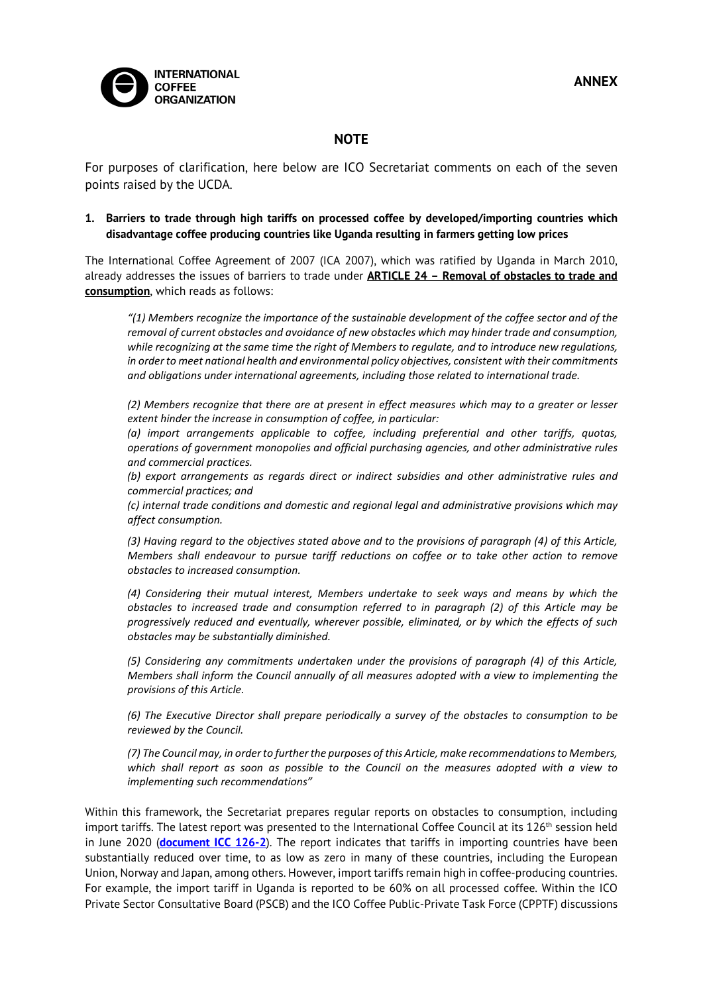

### **NOTE**

For purposes of clarification, here below are ICO Secretariat comments on each of the seven points raised by the UCDA.

#### **1. Barriers to trade through high tariffs on processed coffee by developed/importing countries which disadvantage coffee producing countries like Uganda resulting in farmers getting low prices**

The International Coffee Agreement of 2007 (ICA 2007), which was ratified by Uganda in March 2010, already addresses the issues of barriers to trade under **ARTICLE 24 – Removal of obstacles to trade and consumption**, which reads as follows:

*"(1) Members recognize the importance of the sustainable development of the coffee sector and of the removal of current obstacles and avoidance of new obstacles which may hinder trade and consumption, while recognizing at the same time the right of Members to regulate, and to introduce new regulations, in order to meet national health and environmental policy objectives, consistent with their commitments and obligations under international agreements, including those related to international trade.* 

*(2) Members recognize that there are at present in effect measures which may to a greater or lesser extent hinder the increase in consumption of coffee, in particular:*

*(a) import arrangements applicable to coffee, including preferential and other tariffs, quotas, operations of government monopolies and official purchasing agencies, and other administrative rules and commercial practices.* 

*(b) export arrangements as regards direct or indirect subsidies and other administrative rules and commercial practices; and*

*(c) internal trade conditions and domestic and regional legal and administrative provisions which may affect consumption.* 

*(3) Having regard to the objectives stated above and to the provisions of paragraph (4) of this Article, Members shall endeavour to pursue tariff reductions on coffee or to take other action to remove obstacles to increased consumption.* 

*(4) Considering their mutual interest, Members undertake to seek ways and means by which the obstacles to increased trade and consumption referred to in paragraph (2) of this Article may be progressively reduced and eventually, wherever possible, eliminated, or by which the effects of such obstacles may be substantially diminished.* 

*(5) Considering any commitments undertaken under the provisions of paragraph (4) of this Article, Members shall inform the Council annually of all measures adopted with a view to implementing the provisions of this Article.* 

*(6) The Executive Director shall prepare periodically a survey of the obstacles to consumption to be reviewed by the Council.* 

*(7) The Council may, in order to further the purposes of this Article, make recommendations to Members, which shall report as soon as possible to the Council on the measures adopted with a view to implementing such recommendations"*

Within this framework, the Secretariat prepares regular reports on obstacles to consumption, including import tariffs. The latest report was presented to the International Coffee Council at its 126<sup>th</sup> session held in June 2020 (**[document ICC 126-2](https://www.ico.org/documents/cy2019-20/icc-126-2e-obstacles-consumption.pdf)**). The report indicates that tariffs in importing countries have been substantially reduced over time, to as low as zero in many of these countries, including the European Union, Norway and Japan, among others. However, import tariffs remain high in coffee-producing countries. For example, the import tariff in Uganda is reported to be 60% on all processed coffee. Within the ICO Private Sector Consultative Board (PSCB) and the ICO Coffee Public-Private Task Force (CPPTF) discussions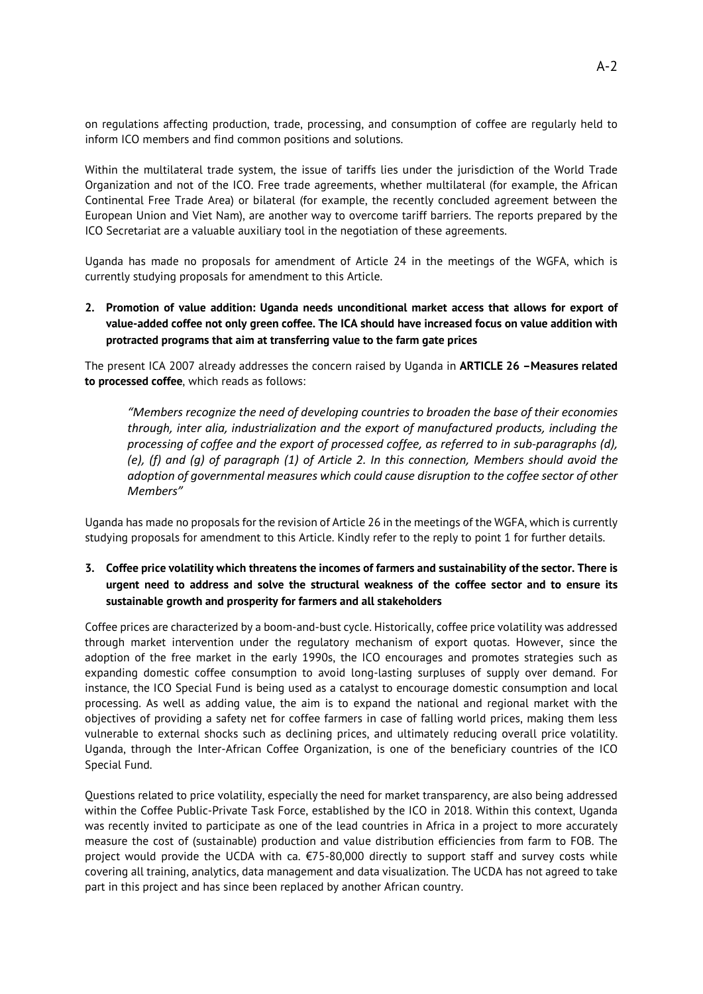on regulations affecting production, trade, processing, and consumption of coffee are regularly held to inform ICO members and find common positions and solutions.

Within the multilateral trade system, the issue of tariffs lies under the jurisdiction of the World Trade Organization and not of the ICO. Free trade agreements, whether multilateral (for example, the African Continental Free Trade Area) or bilateral (for example, the recently concluded agreement between the European Union and Viet Nam), are another way to overcome tariff barriers. The reports prepared by the ICO Secretariat are a valuable auxiliary tool in the negotiation of these agreements.

Uganda has made no proposals for amendment of Article 24 in the meetings of the WGFA, which is currently studying proposals for amendment to this Article.

**2. Promotion of value addition: Uganda needs unconditional market access that allows for export of value-added coffee not only green coffee. The ICA should have increased focus on value addition with protracted programs that aim at transferring value to the farm gate prices**

The present ICA 2007 already addresses the concern raised by Uganda in **ARTICLE 26 –Measures related to processed coffee**, which reads as follows:

*"Members recognize the need of developing countries to broaden the base of their economies through, inter alia, industrialization and the export of manufactured products, including the processing of coffee and the export of processed coffee, as referred to in sub-paragraphs (d), (e), (f) and (g) of paragraph (1) of Article 2. In this connection, Members should avoid the adoption of governmental measures which could cause disruption to the coffee sector of other Members"*

Uganda has made no proposals for the revision of Article 26 in the meetings of the WGFA, which is currently studying proposals for amendment to this Article. Kindly refer to the reply to point 1 for further details.

### **3. Coffee price volatility which threatens the incomes of farmers and sustainability of the sector. There is urgent need to address and solve the structural weakness of the coffee sector and to ensure its sustainable growth and prosperity for farmers and all stakeholders**

Coffee prices are characterized by a boom-and-bust cycle. Historically, coffee price volatility was addressed through market intervention under the regulatory mechanism of export quotas. However, since the adoption of the free market in the early 1990s, the ICO encourages and promotes strategies such as expanding domestic coffee consumption to avoid long-lasting surpluses of supply over demand. For instance, the ICO Special Fund is being used as a catalyst to encourage domestic consumption and local processing. As well as adding value, the aim is to expand the national and regional market with the objectives of providing a safety net for coffee farmers in case of falling world prices, making them less vulnerable to external shocks such as declining prices, and ultimately reducing overall price volatility. Uganda, through the Inter-African Coffee Organization, is one of the beneficiary countries of the ICO Special Fund.

Questions related to price volatility, especially the need for market transparency, are also being addressed within the Coffee Public-Private Task Force, established by the ICO in 2018. Within this context, Uganda was recently invited to participate as one of the lead countries in Africa in a project to more accurately measure the cost of (sustainable) production and value distribution efficiencies from farm to FOB. The project would provide the UCDA with ca. €75-80,000 directly to support staff and survey costs while covering all training, analytics, data management and data visualization. The UCDA has not agreed to take part in this project and has since been replaced by another African country.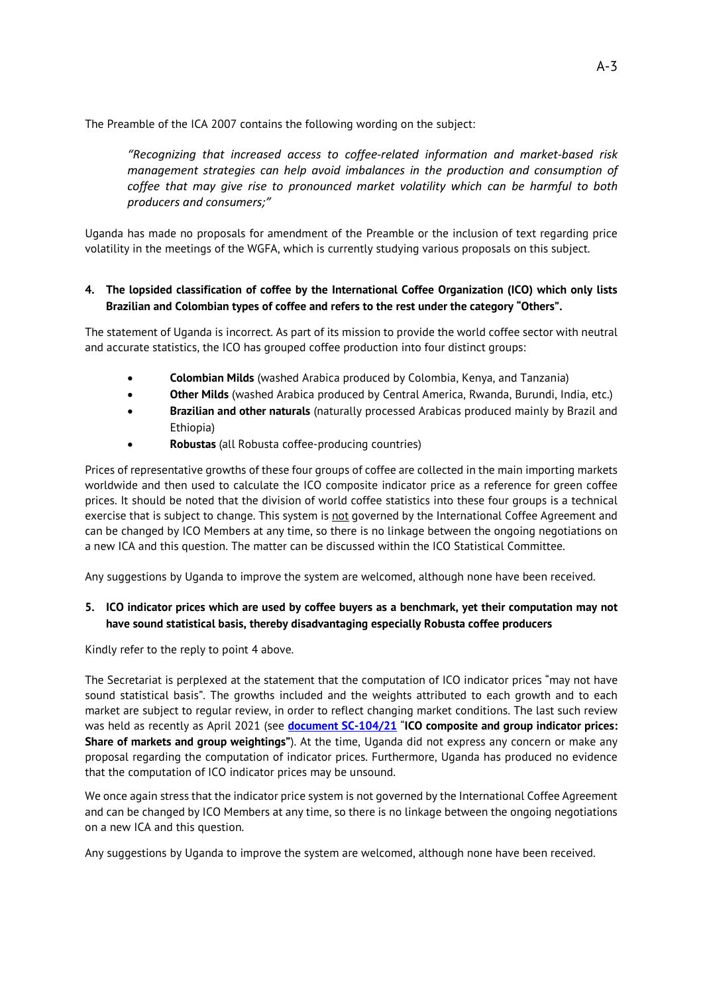The Preamble of the ICA 2007 contains the following wording on the subject:

*"Recognizing that increased access to coffee-related information and market-based risk management strategies can help avoid imbalances in the production and consumption of coffee that may give rise to pronounced market volatility which can be harmful to both producers and consumers;"*

Uganda has made no proposals for amendment of the Preamble or the inclusion of text regarding price volatility in the meetings of the WGFA, which is currently studying various proposals on this subject.

#### **4. The lopsided classification of coffee by the International Coffee Organization (ICO) which only lists Brazilian and Colombian types of coffee and refers to the rest under the category "Others".**

The statement of Uganda is incorrect. As part of its mission to provide the world coffee sector with neutral and accurate statistics, the ICO has grouped coffee production into four distinct groups:

- **Colombian Milds** (washed Arabica produced by Colombia, Kenya, and Tanzania)
- **Other Milds** (washed Arabica produced by Central America, Rwanda, Burundi, India, etc.)
- **Brazilian and other naturals** (naturally processed Arabicas produced mainly by Brazil and Ethiopia)
- **Robustas** (all Robusta coffee-producing countries)

Prices of representative growths of these four groups of coffee are collected in the main importing markets worldwide and then used to calculate the ICO composite indicator price as a reference for green coffee prices. It should be noted that the division of world coffee statistics into these four groups is a technical exercise that is subject to change. This system is not governed by the International Coffee Agreement and can be changed by ICO Members at any time, so there is no linkage between the ongoing negotiations on a new ICA and this question. The matter can be discussed within the ICO Statistical Committee.

Any suggestions by Uganda to improve the system are welcomed, although none have been received.

#### **5. ICO indicator prices which are used by coffee buyers as a benchmark, yet their computation may not have sound statistical basis, thereby disadvantaging especially Robusta coffee producers**

Kindly refer to the reply to point 4 above.

The Secretariat is perplexed at the statement that the computation of ICO indicator prices "may not have sound statistical basis". The growths included and the weights attributed to each growth and to each market are subject to regular review, in order to reflect changing market conditions. The last such review was held as recently as April 2021 (see **[document SC-104/21](https://www.ico.org/documents/cy2020-21/sc-104e-indicator-prices.pdf)** "**ICO composite and group indicator prices: Share of markets and group weightings"**). At the time, Uganda did not express any concern or make any proposal regarding the computation of indicator prices. Furthermore, Uganda has produced no evidence that the computation of ICO indicator prices may be unsound.

We once again stress that the indicator price system is not governed by the International Coffee Agreement and can be changed by ICO Members at any time, so there is no linkage between the ongoing negotiations on a new ICA and this question.

Any suggestions by Uganda to improve the system are welcomed, although none have been received.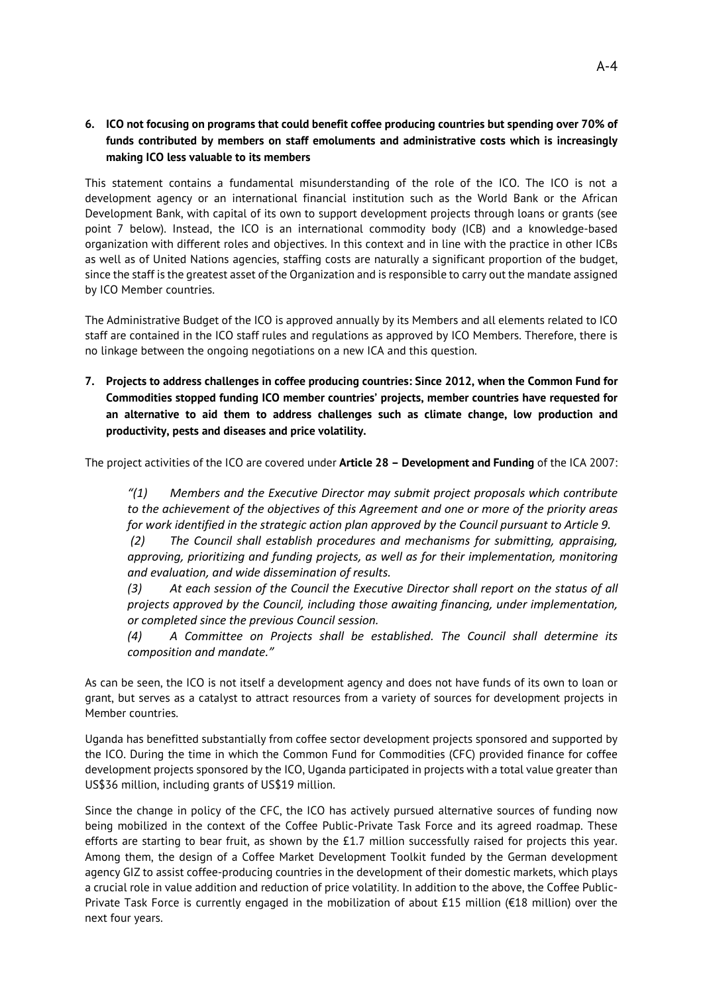# **6. ICO not focusing on programs that could benefit coffee producing countries but spending over 70% of funds contributed by members on staff emoluments and administrative costs which is increasingly making ICO less valuable to its members**

This statement contains a fundamental misunderstanding of the role of the ICO. The ICO is not a development agency or an international financial institution such as the World Bank or the African Development Bank, with capital of its own to support development projects through loans or grants (see point 7 below). Instead, the ICO is an international commodity body (ICB) and a knowledge-based organization with different roles and objectives. In this context and in line with the practice in other ICBs as well as of United Nations agencies, staffing costs are naturally a significant proportion of the budget, since the staff is the greatest asset of the Organization and is responsible to carry out the mandate assigned by ICO Member countries.

The Administrative Budget of the ICO is approved annually by its Members and all elements related to ICO staff are contained in the ICO staff rules and regulations as approved by ICO Members. Therefore, there is no linkage between the ongoing negotiations on a new ICA and this question.

**7. Projects to address challenges in coffee producing countries: Since 2012, when the Common Fund for Commodities stopped funding ICO member countries' projects, member countries have requested for an alternative to aid them to address challenges such as climate change, low production and productivity, pests and diseases and price volatility.**

The project activities of the ICO are covered under **Article 28 – Development and Funding** of the ICA 2007:

*"(1) Members and the Executive Director may submit project proposals which contribute to the achievement of the objectives of this Agreement and one or more of the priority areas for work identified in the strategic action plan approved by the Council pursuant to Article 9.*

*(2) The Council shall establish procedures and mechanisms for submitting, appraising, approving, prioritizing and funding projects, as well as for their implementation, monitoring and evaluation, and wide dissemination of results.*

*(3) At each session of the Council the Executive Director shall report on the status of all projects approved by the Council, including those awaiting financing, under implementation, or completed since the previous Council session.*

*(4) A Committee on Projects shall be established. The Council shall determine its composition and mandate."*

As can be seen, the ICO is not itself a development agency and does not have funds of its own to loan or grant, but serves as a catalyst to attract resources from a variety of sources for development projects in Member countries.

Uganda has benefitted substantially from coffee sector development projects sponsored and supported by the ICO. During the time in which the Common Fund for Commodities (CFC) provided finance for coffee development projects sponsored by the ICO, Uganda participated in projects with a total value greater than US\$36 million, including grants of US\$19 million.

Since the change in policy of the CFC, the ICO has actively pursued alternative sources of funding now being mobilized in the context of the Coffee Public-Private Task Force and its agreed roadmap. These efforts are starting to bear fruit, as shown by the £1.7 million successfully raised for projects this year. Among them, the design of a Coffee Market Development Toolkit funded by the German development agency GIZ to assist coffee-producing countries in the development of their domestic markets, which plays a crucial role in value addition and reduction of price volatility. In addition to the above, the Coffee Public-Private Task Force is currently engaged in the mobilization of about £15 million (€18 million) over the next four years.